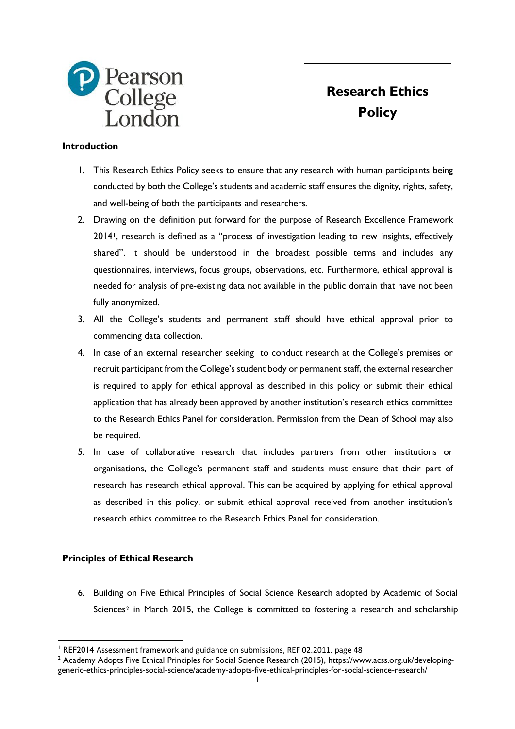

**Research Ethics Policy**

## **Introduction**

- 1. This Research Ethics Policy seeks to ensure that any research with human participants being conducted by both the College's students and academic staff ensures the dignity, rights, safety, and well-being of both the participants and researchers.
- 2. Drawing on the definition put forward for the purpose of Research Excellence Framework 2014[1](#page-0-0), research is defined as a "process of investigation leading to new insights, effectively shared". It should be understood in the broadest possible terms and includes any questionnaires, interviews, focus groups, observations, etc. Furthermore, ethical approval is needed for analysis of pre-existing data not available in the public domain that have not been fully anonymized.
- 3. All the College's students and permanent staff should have ethical approval prior to commencing data collection.
- 4. In case of an external researcher seeking to conduct research at the College's premises or recruit participant from the College's student body or permanent staff, the external researcher is required to apply for ethical approval as described in this policy or submit their ethical application that has already been approved by another institution's research ethics committee to the Research Ethics Panel for consideration. Permission from the Dean of School may also be required.
- 5. In case of collaborative research that includes partners from other institutions or organisations, the College's permanent staff and students must ensure that their part of research has research ethical approval. This can be acquired by applying for ethical approval as described in this policy, or submit ethical approval received from another institution's research ethics committee to the Research Ethics Panel for consideration.

## **Principles of Ethical Research**

6. Building on Five Ethical Principles of Social Science Research adopted by Academic of Social Sciences[2](#page-0-1) in March 2015, the College is committed to fostering a research and scholarship

 <sup>1</sup> REF2014 Assessment framework and guidance on submissions, REF 02.2011. page 48

<span id="page-0-1"></span><span id="page-0-0"></span><sup>&</sup>lt;sup>2</sup> Academy Adopts Five Ethical Principles for Social Science Research (2015), https://www.acss.org.uk/developinggeneric-ethics-principles-social-science/academy-adopts-five-ethical-principles-for-social-science-research/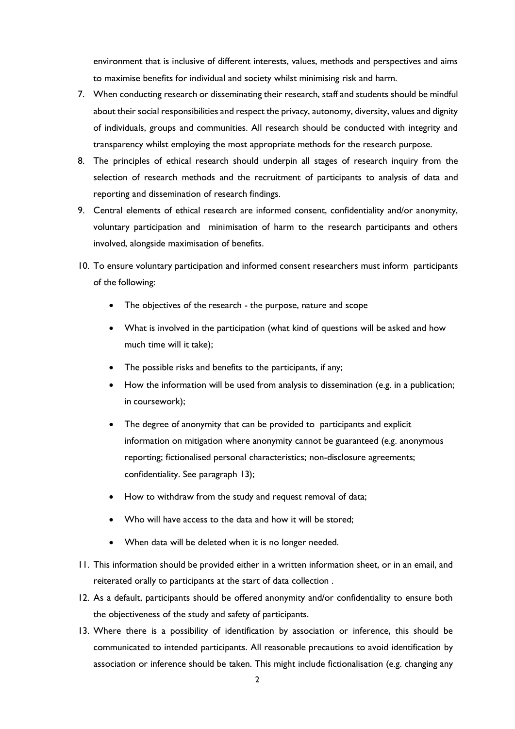environment that is inclusive of different interests, values, methods and perspectives and aims to maximise benefits for individual and society whilst minimising risk and harm.

- 7. When conducting research or disseminating their research, staff and students should be mindful about their social responsibilities and respect the privacy, autonomy, diversity, values and dignity of individuals, groups and communities. All research should be conducted with integrity and transparency whilst employing the most appropriate methods for the research purpose.
- 8. The principles of ethical research should underpin all stages of research inquiry from the selection of research methods and the recruitment of participants to analysis of data and reporting and dissemination of research findings.
- 9. Central elements of ethical research are informed consent, confidentiality and/or anonymity, voluntary participation and minimisation of harm to the research participants and others involved, alongside maximisation of benefits.
- 10. To ensure voluntary participation and informed consent researchers must inform participants of the following:
	- The objectives of the research the purpose, nature and scope
	- What is involved in the participation (what kind of questions will be asked and how much time will it take);
	- The possible risks and benefits to the participants, if any;
	- How the information will be used from analysis to dissemination (e.g. in a publication; in coursework);
	- The degree of anonymity that can be provided to participants and explicit information on mitigation where anonymity cannot be guaranteed (e.g. anonymous reporting; fictionalised personal characteristics; non-disclosure agreements; confidentiality. See paragraph 13);
	- How to withdraw from the study and request removal of data;
	- Who will have access to the data and how it will be stored;
	- When data will be deleted when it is no longer needed.
- 11. This information should be provided either in a written information sheet, or in an email, and reiterated orally to participants at the start of data collection .
- 12. As a default, participants should be offered anonymity and/or confidentiality to ensure both the objectiveness of the study and safety of participants.
- 13. Where there is a possibility of identification by association or inference, this should be communicated to intended participants. All reasonable precautions to avoid identification by association or inference should be taken. This might include fictionalisation (e.g. changing any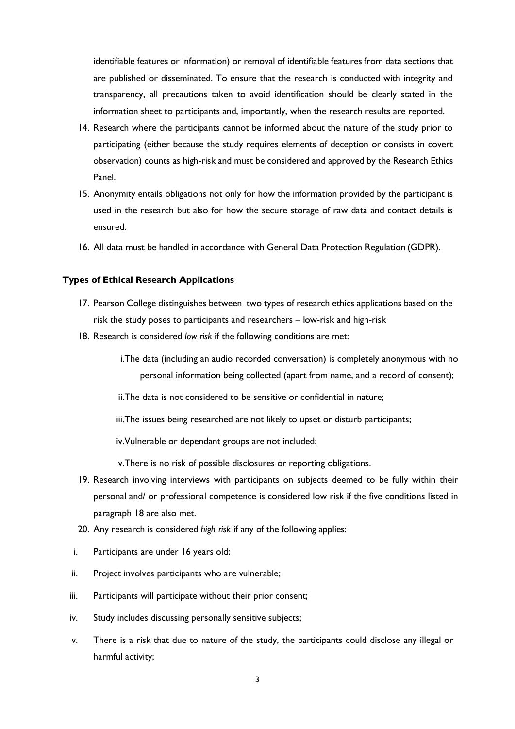identifiable features or information) or removal of identifiable features from data sections that are published or disseminated. To ensure that the research is conducted with integrity and transparency, all precautions taken to avoid identification should be clearly stated in the information sheet to participants and, importantly, when the research results are reported.

- 14. Research where the participants cannot be informed about the nature of the study prior to participating (either because the study requires elements of deception or consists in covert observation) counts as high-risk and must be considered and approved by the Research Ethics Panel.
- 15. Anonymity entails obligations not only for how the information provided by the participant is used in the research but also for how the secure storage of raw data and contact details is ensured.
- 16. All data must be handled in accordance with General Data Protection Regulation (GDPR).

### **Types of Ethical Research Applications**

- 17. Pearson College distinguishes between two types of research ethics applications based on the risk the study poses to participants and researchers – low-risk and high-risk
- 18. Research is considered *low risk* if the following conditions are met:
	- i.The data (including an audio recorded conversation) is completely anonymous with no personal information being collected (apart from name, and a record of consent);
	- ii.The data is not considered to be sensitive or confidential in nature;
	- iii. The issues being researched are not likely to upset or disturb participants;

iv.Vulnerable or dependant groups are not included;

v.There is no risk of possible disclosures or reporting obligations.

- 19. Research involving interviews with participants on subjects deemed to be fully within their personal and/ or professional competence is considered low risk if the five conditions listed in paragraph 18 are also met.
- 20. Any research is considered *high risk* if any of the following applies:
- i. Participants are under 16 years old;
- ii. Project involves participants who are vulnerable;
- iii. Participants will participate without their prior consent;
- iv. Study includes discussing personally sensitive subjects;
- v. There is a risk that due to nature of the study, the participants could disclose any illegal or harmful activity;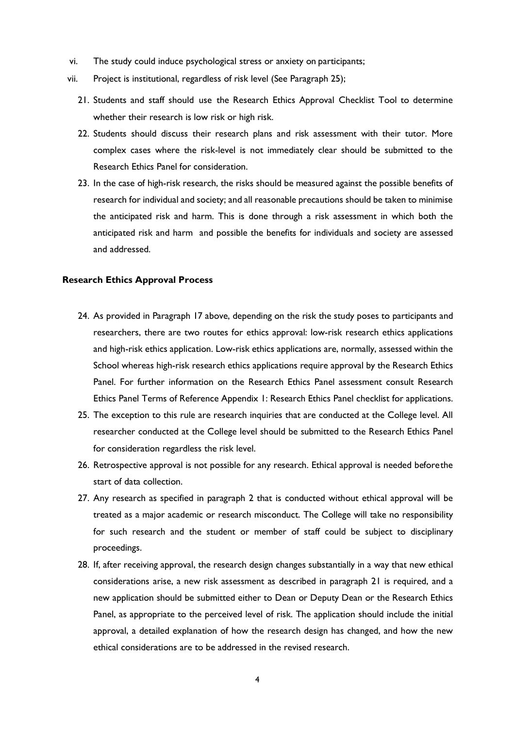- vi. The study could induce psychological stress or anxiety on participants;
- vii. Project is institutional, regardless of risk level (See Paragraph 25);
	- 21. Students and staff should use the Research Ethics Approval Checklist Tool to determine whether their research is low risk or high risk.
	- 22. Students should discuss their research plans and risk assessment with their tutor. More complex cases where the risk-level is not immediately clear should be submitted to the Research Ethics Panel for consideration.
	- 23. In the case of high-risk research, the risks should be measured against the possible benefits of research for individual and society; and all reasonable precautions should be taken to minimise the anticipated risk and harm. This is done through a risk assessment in which both the anticipated risk and harm and possible the benefits for individuals and society are assessed and addressed.

### **Research Ethics Approval Process**

- 24. As provided in Paragraph 17 above, depending on the risk the study poses to participants and researchers, there are two routes for ethics approval: low-risk research ethics applications and high-risk ethics application. Low-risk ethics applications are, normally, assessed within the School whereas high-risk research ethics applications require approval by the Research Ethics Panel. For further information on the Research Ethics Panel assessment consult Research Ethics Panel Terms of Reference Appendix 1: Research Ethics Panel checklist for applications.
- 25. The exception to this rule are research inquiries that are conducted at the College level. All researcher conducted at the College level should be submitted to the Research Ethics Panel for consideration regardless the risk level.
- 26. Retrospective approval is not possible for any research. Ethical approval is needed beforethe start of data collection.
- 27. Any research as specified in paragraph 2 that is conducted without ethical approval will be treated as a major academic or research misconduct. The College will take no responsibility for such research and the student or member of staff could be subject to disciplinary proceedings.
- 28. If, after receiving approval, the research design changes substantially in a way that new ethical considerations arise, a new risk assessment as described in paragraph 21 is required, and a new application should be submitted either to Dean or Deputy Dean or the Research Ethics Panel, as appropriate to the perceived level of risk. The application should include the initial approval, a detailed explanation of how the research design has changed, and how the new ethical considerations are to be addressed in the revised research.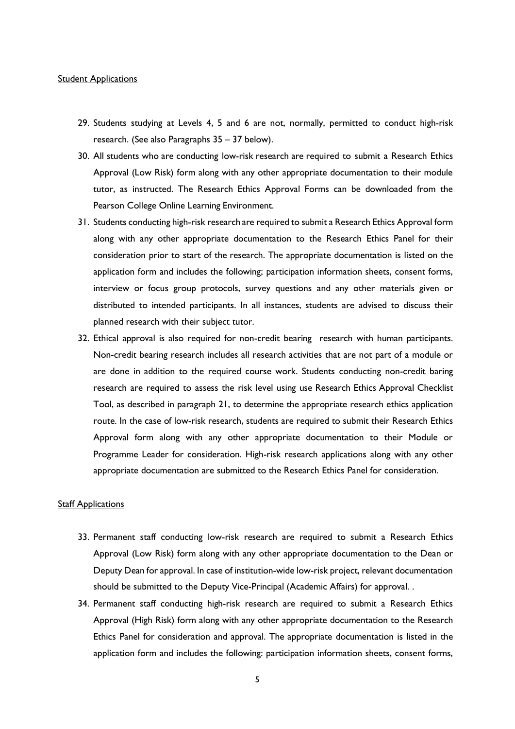#### **Student Applications**

- 29. Students studying at Levels 4, 5 and 6 are not, normally, permitted to conduct high-risk research. (See also Paragraphs 35 – 37 below).
- 30. All students who are conducting low-risk research are required to submit a Research Ethics Approval (Low Risk) form along with any other appropriate documentation to their module tutor, as instructed. The Research Ethics Approval Forms can be downloaded from the Pearson College Online Learning Environment.
- 31. Students conducting high-risk research are required to submit a Research Ethics Approval form along with any other appropriate documentation to the Research Ethics Panel for their consideration prior to start of the research. The appropriate documentation is listed on the application form and includes the following; participation information sheets, consent forms, interview or focus group protocols, survey questions and any other materials given or distributed to intended participants. In all instances, students are advised to discuss their planned research with their subject tutor.
- 32. Ethical approval is also required for non-credit bearing research with human participants. Non-credit bearing research includes all research activities that are not part of a module or are done in addition to the required course work. Students conducting non-credit baring research are required to assess the risk level using use Research Ethics Approval Checklist Tool, as described in paragraph 21, to determine the appropriate research ethics application route. In the case of low-risk research, students are required to submit their Research Ethics Approval form along with any other appropriate documentation to their Module or Programme Leader for consideration. High-risk research applications along with any other appropriate documentation are submitted to the Research Ethics Panel for consideration.

### **Staff Applications**

- 33. Permanent staff conducting low-risk research are required to submit a Research Ethics Approval (Low Risk) form along with any other appropriate documentation to the Dean or Deputy Dean for approval. In case of institution-wide low-risk project, relevant documentation should be submitted to the Deputy Vice-Principal (Academic Affairs) for approval. .
- 34. Permanent staff conducting high-risk research are required to submit a Research Ethics Approval (High Risk) form along with any other appropriate documentation to the Research Ethics Panel for consideration and approval. The appropriate documentation is listed in the application form and includes the following: participation information sheets, consent forms,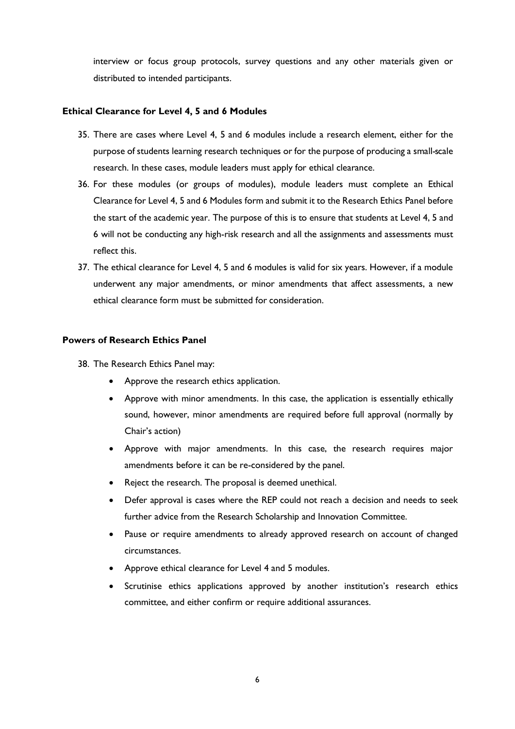interview or focus group protocols, survey questions and any other materials given or distributed to intended participants.

### **Ethical Clearance for Level 4, 5 and 6 Modules**

- 35. There are cases where Level 4, 5 and 6 modules include a research element, either for the purpose of students learning research techniques or for the purpose of producing a small-scale research. In these cases, module leaders must apply for ethical clearance.
- 36. For these modules (or groups of modules), module leaders must complete an Ethical Clearance for Level 4, 5 and 6 Modules form and submit it to the Research Ethics Panel before the start of the academic year. The purpose of this is to ensure that students at Level 4, 5 and 6 will not be conducting any high-risk research and all the assignments and assessments must reflect this.
- 37. The ethical clearance for Level 4, 5 and 6 modules is valid for six years. However, if a module underwent any major amendments, or minor amendments that affect assessments, a new ethical clearance form must be submitted for consideration.

### **Powers of Research Ethics Panel**

38. The Research Ethics Panel may:

- Approve the research ethics application.
- Approve with minor amendments. In this case, the application is essentially ethically sound, however, minor amendments are required before full approval (normally by Chair's action)
- Approve with major amendments. In this case, the research requires major amendments before it can be re-considered by the panel.
- Reject the research. The proposal is deemed unethical.
- Defer approval is cases where the REP could not reach a decision and needs to seek further advice from the Research Scholarship and Innovation Committee.
- Pause or require amendments to already approved research on account of changed circumstances.
- Approve ethical clearance for Level 4 and 5 modules.
- Scrutinise ethics applications approved by another institution's research ethics committee, and either confirm or require additional assurances.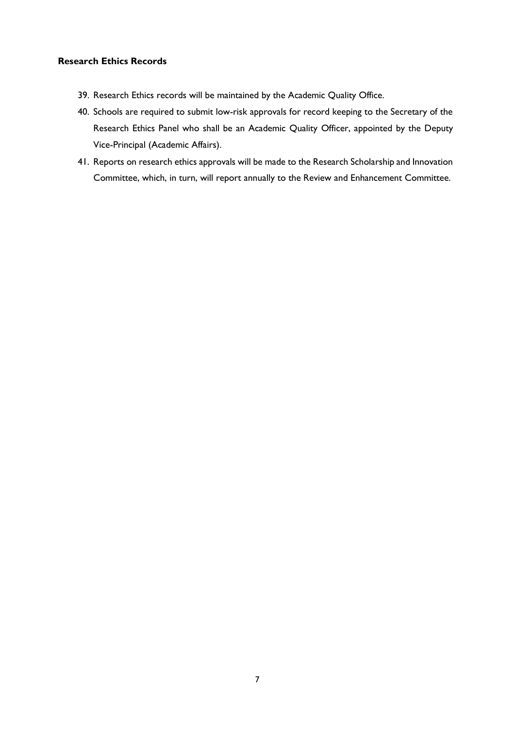# **Research Ethics Records**

- 39. Research Ethics records will be maintained by the Academic Quality Office.
- 40. Schools are required to submit low-risk approvals for record keeping to the Secretary of the Research Ethics Panel who shall be an Academic Quality Officer, appointed by the Deputy Vice-Principal (Academic Affairs).
- 41. Reports on research ethics approvals will be made to the Research Scholarship and Innovation Committee, which, in turn, will report annually to the Review and Enhancement Committee.